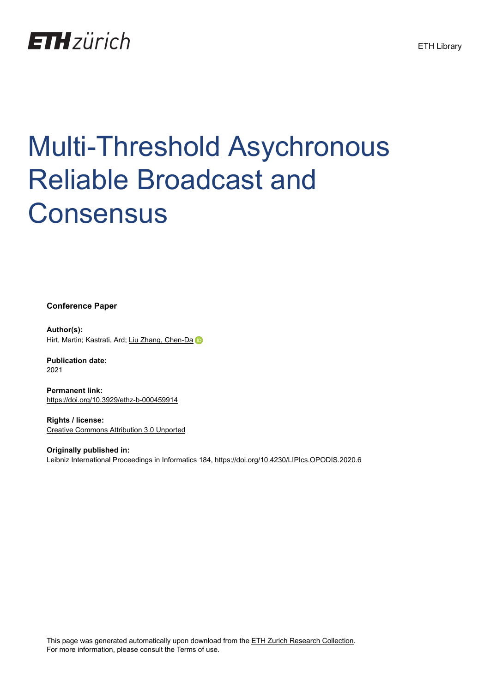

# Multi-Threshold Asychronous Reliable Broadcast and **Consensus**

**Conference Paper**

**Author(s):** Hirt, Martin; Kastrati, Ard; [Liu Zhang, Chen-Da](https://orcid.org/0000-0002-0349-3838)

**Publication date:** 2021

**Permanent link:** <https://doi.org/10.3929/ethz-b-000459914>

**Rights / license:** [Creative Commons Attribution 3.0 Unported](http://creativecommons.org/licenses/by/3.0/)

**Originally published in:** Leibniz International Proceedings in Informatics 184,<https://doi.org/10.4230/LIPIcs.OPODIS.2020.6>

This page was generated automatically upon download from the [ETH Zurich Research Collection.](https://www.research-collection.ethz.ch) For more information, please consult the [Terms of use](https://www.research-collection.ethz.ch/terms-of-use).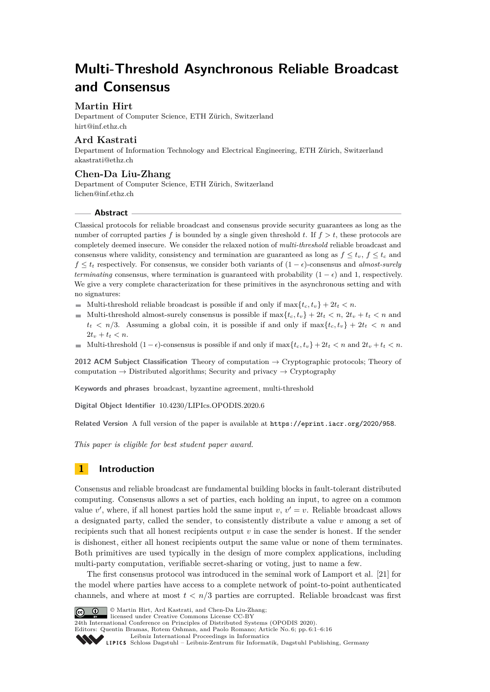# **Multi-Threshold Asynchronous Reliable Broadcast and Consensus**

# **Martin Hirt**

Department of Computer Science, ETH Zürich, Switzerland [hirt@inf.ethz.ch](mailto:hirt@inf.ethz.ch)

# **Ard Kastrati**

Department of Information Technology and Electrical Engineering, ETH Zürich, Switzerland [akastrati@ethz.ch](mailto:akastrati@ethz.ch)

# **Chen-Da Liu-Zhang**

Department of Computer Science, ETH Zürich, Switzerland [lichen@inf.ethz.ch](mailto:lichen@inf.ethz.ch)

#### **Abstract**

Classical protocols for reliable broadcast and consensus provide security guarantees as long as the number of corrupted parties f is bounded by a single given threshold t. If  $f > t$ , these protocols are completely deemed insecure. We consider the relaxed notion of *multi-threshold* reliable broadcast and consensus where validity, consistency and termination are guaranteed as long as  $f \le t_v$ ,  $f \le t_c$  and  $f \leq t_t$  respectively. For consensus, we consider both variants of  $(1 - \epsilon)$ -consensus and *almost-surely terminating* consensus, where termination is guaranteed with probability  $(1 - \epsilon)$  and 1, respectively. We give a very complete characterization for these primitives in the asynchronous setting and with no signatures:

- Multi-threshold reliable broadcast is possible if and only if  $\max\{t_c, t_n\} + 2t_t < n$ .
- Multi-threshold almost-surely consensus is possible if  $\max\{t_c, t_v\} + 2t_t < n$ ,  $2t_v + t_t < n$  and  $t_t < n/3$ . Assuming a global coin, it is possible if and only if  $\max\{t_c, t_v\} + 2t_t < n$  and  $2t_v + t_t < n$ .
- Multi-threshold  $(1 \epsilon)$ -consensus is possible if and only if  $\max\{t_c, t_v\} + 2t_t < n$  and  $2t_v + t_t < n$ .

**2012 ACM Subject Classification** Theory of computation → Cryptographic protocols; Theory of computation  $\rightarrow$  Distributed algorithms; Security and privacy  $\rightarrow$  Cryptography

**Keywords and phrases** broadcast, byzantine agreement, multi-threshold

**Digital Object Identifier** [10.4230/LIPIcs.OPODIS.2020.6](https://doi.org/10.4230/LIPIcs.OPODIS.2020.6)

**Related Version** A full version of the paper is available at <https://eprint.iacr.org/2020/958>.

*This paper is eligible for best student paper award.*

# **1 Introduction**

Consensus and reliable broadcast are fundamental building blocks in fault-tolerant distributed computing. Consensus allows a set of parties, each holding an input, to agree on a common value *v*', where, if all honest parties hold the same input *v*,  $v' = v$ . Reliable broadcast allows a designated party, called the sender, to consistently distribute a value *v* among a set of recipients such that all honest recipients output *v* in case the sender is honest. If the sender is dishonest, either all honest recipients output the same value or none of them terminates. Both primitives are used typically in the design of more complex applications, including multi-party computation, verifiable secret-sharing or voting, just to name a few.

The first consensus protocol was introduced in the seminal work of Lamport et al. [\[21\]](#page-15-0) for the model where parties have access to a complete network of point-to-point authenticated channels, and where at most  $t < n/3$  parties are corrupted. Reliable broadcast was first



© Martin Hirt, Ard Kastrati, and Chen-Da Liu-Zhang; licensed under Creative Commons License CC-BY

24th International Conference on Principles of Distributed Systems (OPODIS 2020).

Editors: Quentin Bramas, Rotem Oshman, and Paolo Romano; Article No. 6; pp. 6:1–6[:16](#page-16-0)

[Leibniz International Proceedings in Informatics](https://www.dagstuhl.de/lipics/)

[Schloss Dagstuhl – Leibniz-Zentrum für Informatik, Dagstuhl Publishing, Germany](https://www.dagstuhl.de)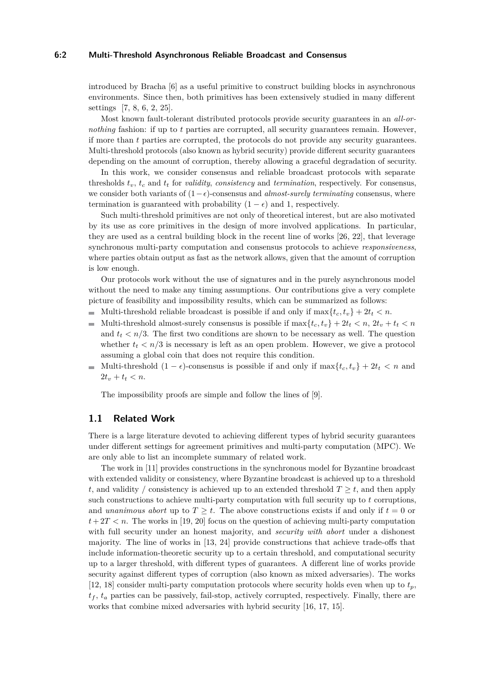#### **6:2 Multi-Threshold Asynchronous Reliable Broadcast and Consensus**

introduced by Bracha [\[6\]](#page-15-1) as a useful primitive to construct building blocks in asynchronous environments. Since then, both primitives has been extensively studied in many different settings [\[7,](#page-15-2) [8,](#page-15-3) [6,](#page-15-1) [2,](#page-14-0) [25\]](#page-16-1).

Most known fault-tolerant distributed protocols provide security guarantees in an *all-ornothing* fashion: if up to *t* parties are corrupted, all security guarantees remain. However, if more than *t* parties are corrupted, the protocols do not provide any security guarantees. Multi-threshold protocols (also known as hybrid security) provide different security guarantees depending on the amount of corruption, thereby allowing a graceful degradation of security.

In this work, we consider consensus and reliable broadcast protocols with separate thresholds *tv*, *t<sup>c</sup>* and *t<sup>t</sup>* for *validity*, *consistency* and *termination*, respectively. For consensus, we consider both variants of  $(1-\epsilon)$ -consensus and *almost-surely terminating* consensus, where termination is guaranteed with probability  $(1 - \epsilon)$  and 1, respectively.

Such multi-threshold primitives are not only of theoretical interest, but are also motivated by its use as core primitives in the design of more involved applications. In particular, they are used as a central building block in the recent line of works [\[26,](#page-16-2) [22\]](#page-16-3), that leverage synchronous multi-party computation and consensus protocols to achieve *responsiveness*, where parties obtain output as fast as the network allows, given that the amount of corruption is low enough.

Our protocols work without the use of signatures and in the purely asynchronous model without the need to make any timing assumptions. Our contributions give a very complete picture of feasibility and impossibility results, which can be summarized as follows:

- Multi-threshold reliable broadcast is possible if and only if  $\max\{t_c, t_v\} + 2t_t < n$ .
- $\mathcal{L}_{\mathcal{A}}$ Multi-threshold almost-surely consensus is possible if  $\max\{t_c, t_v\} + 2t_t < n$ ,  $2t_v + t_t < n$ and  $t_t < n/3$ . The first two conditions are shown to be necessary as well. The question whether  $t_t < n/3$  is necessary is left as an open problem. However, we give a protocol assuming a global coin that does not require this condition.
- Multi-threshold  $(1 \epsilon)$ -consensus is possible if and only if  $\max\{t_c, t_v\} + 2t_t < n$  and  $\equiv$  $2t_v + t_t < n$ .

The impossibility proofs are simple and follow the lines of [\[9\]](#page-15-4).

#### **1.1 Related Work**

There is a large literature devoted to achieving different types of hybrid security guarantees under different settings for agreement primitives and multi-party computation (MPC). We are only able to list an incomplete summary of related work.

The work in [\[11\]](#page-15-5) provides constructions in the synchronous model for Byzantine broadcast with extended validity or consistency, where Byzantine broadcast is achieved up to a threshold *t*, and validity / consistency is achieved up to an extended threshold  $T \geq t$ , and then apply such constructions to achieve multi-party computation with full security up to *t* corruptions, and *unanimous abort* up to  $T \geq t$ . The above constructions exists if and only if  $t = 0$  or  $t + 2T < n$ . The works in [\[19,](#page-15-6) [20\]](#page-15-7) focus on the question of achieving multi-party computation with full security under an honest majority, and *security with abort* under a dishonest majority. The line of works in [\[13,](#page-15-8) [24\]](#page-16-4) provide constructions that achieve trade-offs that include information-theoretic security up to a certain threshold, and computational security up to a larger threshold, with different types of guarantees. A different line of works provide security against different types of corruption (also known as mixed adversaries). The works [\[12,](#page-15-9) [18\]](#page-15-10) consider multi-party computation protocols where security holds even when up to *tp*,  $t_f$ ,  $t_a$  parties can be passively, fail-stop, actively corrupted, respectively. Finally, there are works that combine mixed adversaries with hybrid security [\[16,](#page-15-11) [17,](#page-15-12) [15\]](#page-15-13).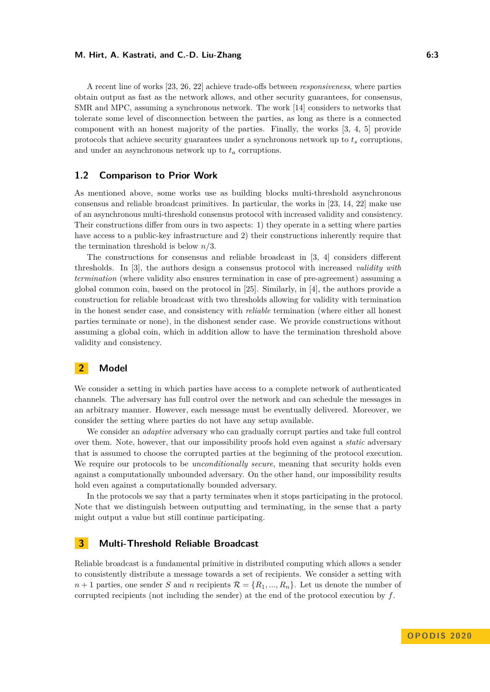#### **M. Hirt, A. Kastrati, and C.-D. Liu-Zhang 6:3**

A recent line of works [\[23,](#page-16-5) [26,](#page-16-2) [22\]](#page-16-3) achieve trade-offs between *responsiveness*, where parties obtain output as fast as the network allows, and other security guarantees, for consensus, SMR and MPC, assuming a synchronous network. The work [\[14\]](#page-15-14) considers to networks that tolerate some level of disconnection between the parties, as long as there is a connected component with an honest majority of the parties. Finally, the works [\[3,](#page-14-1) [4,](#page-14-2) [5\]](#page-14-3) provide protocols that achieve security guarantees under a synchronous network up to  $t_s$  corruptions, and under an asynchronous network up to  $t_a$  corruptions.

# **1.2 Comparison to Prior Work**

As mentioned above, some works use as building blocks multi-threshold asynchronous consensus and reliable broadcast primitives. In particular, the works in [\[23,](#page-16-5) [14,](#page-15-14) [22\]](#page-16-3) make use of an asynchronous multi-threshold consensus protocol with increased validity and consistency. Their constructions differ from ours in two aspects: 1) they operate in a setting where parties have access to a public-key infrastructure and 2) their constructions inherently require that the termination threshold is below *n/*3.

The constructions for consensus and reliable broadcast in [\[3,](#page-14-1) [4\]](#page-14-2) considers different thresholds. In [\[3\]](#page-14-1), the authors design a consensus protocol with increased *validity with termination* (where validity also ensures termination in case of pre-agreement) assuming a global common coin, based on the protocol in [\[25\]](#page-16-1). Similarly, in [\[4\]](#page-14-2), the authors provide a construction for reliable broadcast with two thresholds allowing for validity with termination in the honest sender case, and consistency with *reliable* termination (where either all honest parties terminate or none), in the dishonest sender case. We provide constructions without assuming a global coin, which in addition allow to have the termination threshold above validity and consistency.

## **2 Model**

We consider a setting in which parties have access to a complete network of authenticated channels. The adversary has full control over the network and can schedule the messages in an arbitrary manner. However, each message must be eventually delivered. Moreover, we consider the setting where parties do not have any setup available.

We consider an *adaptive* adversary who can gradually corrupt parties and take full control over them. Note, however, that our impossibility proofs hold even against a *static* adversary that is assumed to choose the corrupted parties at the beginning of the protocol execution. We require our protocols to be *unconditionally secure*, meaning that security holds even against a computationally unbounded adversary. On the other hand, our impossibility results hold even against a computationally bounded adversary.

In the protocols we say that a party terminates when it stops participating in the protocol. Note that we distinguish between outputting and terminating, in the sense that a party might output a value but still continue participating.

# <span id="page-3-1"></span>**3 Multi-Threshold Reliable Broadcast**

<span id="page-3-0"></span>Reliable broadcast is a fundamental primitive in distributed computing which allows a sender to consistently distribute a message towards a set of recipients. We consider a setting with  $n+1$  parties, one sender *S* and *n* recipients  $\mathcal{R} = \{R_1, ..., R_n\}$ . Let us denote the number of corrupted recipients (not including the sender) at the end of the protocol execution by *f*.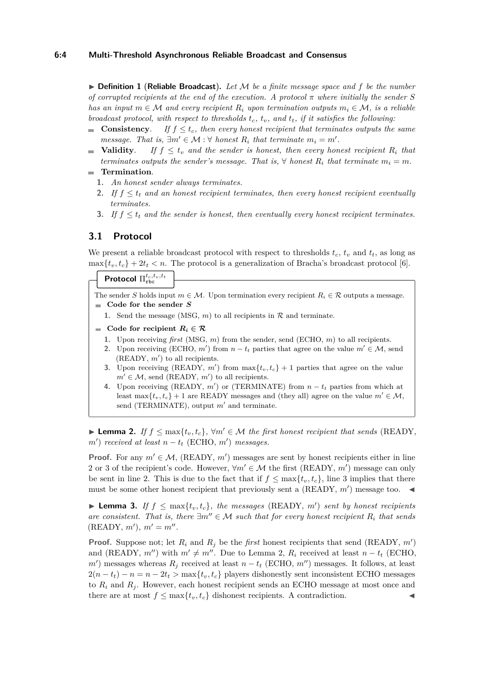I **Definition 1** (**Reliable Broadcast**)**.** *Let* M *be a finite message space and f be the number of corrupted recipients at the end of the execution. A protocol*  $\pi$  where initially the sender S *has an input*  $m \in \mathcal{M}$  *and every recipient*  $R_i$  *upon termination outputs*  $m_i \in \mathcal{M}$ , *is a reliable broadcast protocol, with respect to thresholds tc, tv, and tt, if it satisfies the following:*

- **Consistency.** *If*  $f \leq t_c$ , then every honest recipient that terminates outputs the same *message.* That is,  $\exists m' \in \mathcal{M} : \forall \text{ honest } R_i \text{ that terminate } m_i = m'.$
- **Validity**. If  $f \leq t_v$  and the sender is honest, then every honest recipient  $R_i$  that m. *terminates outputs the sender's message. That is,*  $\forall$  *honest*  $R_i$  *that terminate*  $m_i = m$ *.*
- **Termination**.
	- **1.** *An honest sender always terminates.*
	- **2.** If  $f \leq t_t$  and an honest recipient terminates, then every honest recipient eventually *terminates.*
	- **3.** *If f* ≤ *t<sup>t</sup> and the sender is honest, then eventually every honest recipient terminates.*

# **3.1 Protocol**

We present a reliable broadcast protocol with respect to thresholds  $t_c$ ,  $t_v$  and  $t_t$ , as long as  $\max\{t_v, t_c\} + 2t_t < n$ . The protocol is a generalization of Bracha's broadcast protocol [\[6\]](#page-15-1).

# $\prod_{\text{rbc}}^{t_c,t_v,t_t}$

The sender *S* holds input  $m \in \mathcal{M}$ . Upon termination every recipient  $R_i \in \mathcal{R}$  outputs a message. **Code for the sender** *S*

- **1.** Send the message (MSG,  $m$ ) to all recipients in  $\mathcal{R}$  and terminate.
- Code for recipient  $R_i \in \mathcal{R}$ 
	- **1.** Upon receiving *first* (MSG, *m*) from the sender, send (ECHO, *m*) to all recipients.
	- **2.** Upon receiving (ECHO,  $m'$ ) from  $n t_t$  parties that agree on the value  $m' \in \mathcal{M}$ , send  $(READY, m')$  to all recipients.
	- **3.** Upon receiving (READY,  $m'$ ) from  $\max\{t_v, t_c\} + 1$  parties that agree on the value  $m' \in \mathcal{M}$ , send (READY,  $m'$ ) to all recipients.
	- **4.** Upon receiving (READY,  $m'$ ) or (TERMINATE) from  $n t_t$  parties from which at least  $\max\{t_v, t_c\} + 1$  are READY messages and (they all) agree on the value  $m' \in \mathcal{M}$ , send (TERMINATE), output  $m'$  and terminate.

<span id="page-4-0"></span>► Lemma 2. *If*  $f \text{ ≤ } \max\{t_v, t_c\}$ ,  $\forall m' \in \mathcal{M}$  the first honest recipient that sends (READY,  $m'$ ) *received at least*  $n - t$ <sup>*t*</sup> (ECHO,  $m'$ ) *messages.* 

**Proof.** For any  $m' \in \mathcal{M}$ , (READY,  $m'$ ) messages are sent by honest recipients either in line 2 or 3 of the recipient's code. However,  $\forall m' \in \mathcal{M}$  the first (READY,  $m'$ ) message can only be sent in line 2. This is due to the fact that if  $f \n\t\leq \max\{t_v, t_c\}$ , line 3 implies that there must be some other honest recipient that previously sent a (READY,  $m'$ ) message too.

<span id="page-4-1"></span>▶ **Lemma 3.** *If*  $f \text{ ≤ } max\{t_v, t_c\}$ *, the messages* (READY,  $m'$ ) *sent by honest recipients are consistent. That is, there*  $\exists m'' \in \mathcal{M}$  *such that for every honest recipient*  $R_i$  *that sends*  $(READV, m'), m' = m''$ .

<span id="page-4-2"></span>**Proof.** Suppose not; let  $R_i$  and  $R_j$  be the *first* honest recipients that send (READY,  $m'$ ) and (READY,  $m''$ ) with  $m' \neq m''$ . Due to Lemma [2,](#page-4-0)  $R_i$  received at least  $n - t_t$  (ECHO,  $m'$ ) messages whereas  $R_j$  received at least  $n - t_t$  (ECHO,  $m'$ ) messages. It follows, at least  $2(n - t_t) - n = n - 2t_t$  > max{ $t_v, t_c$ } players dishonestly sent inconsistent ECHO messages to  $R_i$  and  $R_j$ . However, each honest recipient sends an ECHO message at most once and there are at most  $f \leq \max\{t_v, t_c\}$  dishonest recipients. A contradiction.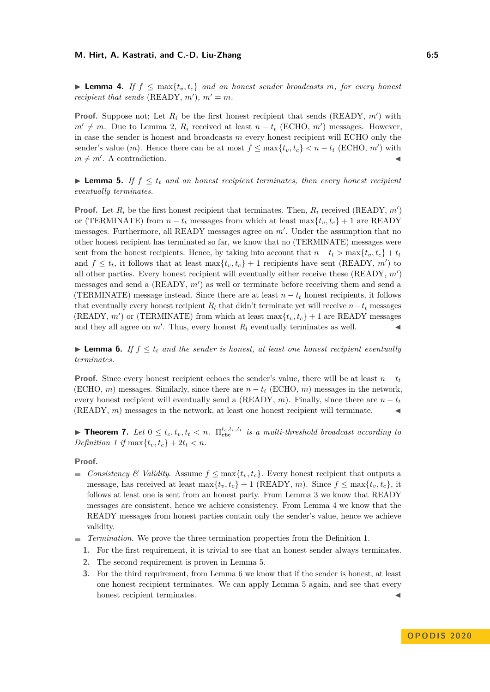► Lemma 4. If  $f \textless \max\{t_v, t_c\}$  and an honest sender broadcasts m, for every honest *recipient that sends* (READY,  $m'$ ),  $m' = m$ .

**Proof.** Suppose not; Let  $R_i$  be the first honest recipient that sends (READY,  $m'$ ) with  $m' \neq m$ . Due to Lemma [2,](#page-4-0)  $R_i$  received at least  $n - t_t$  (ECHO,  $m'$ ) messages. However, in case the sender is honest and broadcasts *m* every honest recipient will ECHO only the sender's value  $(m)$ . Hence there can be at most  $f \leq \max\{t_v, t_c\} < n - t_t$  (ECHO,  $m'$ ) with  $m \neq m'$ . A contradiction.

<span id="page-5-0"></span>**Lemma 5.** If  $f \leq t_t$  and an honest recipient terminates, then every honest recipient *eventually terminates.*

**Proof.** Let  $R_i$  be the first honest recipient that terminates. Then,  $R_i$  received (READY,  $m'$ ) or (TERMINATE) from  $n - t_t$  messages from which at least max $\{t_v, t_c\} + 1$  are READY messages. Furthermore, all READY messages agree on  $m'$ . Under the assumption that no other honest recipient has terminated so far, we know that no (TERMINATE) messages were sent from the honest recipients. Hence, by taking into account that  $n - t_t > \max\{t_v, t_c\} + t_t$ and  $f \leq t_t$ , it follows that at least  $\max\{t_v, t_c\} + 1$  recipients have sent (READY, m') to all other parties. Every honest recipient will eventually either receive these  $(READY, m')$ messages and send a  $(READY, m')$  as well or terminate before receiving them and send a (TERMINATE) message instead. Since there are at least  $n - t_t$  honest recipients, it follows that eventually every honest recipient  $R_l$  that didn't terminate yet will receive  $n-t_t$  messages (READY,  $m'$ ) or (TERMINATE) from which at least  $\max\{t_v, t_c\} + 1$  are READY messages and they all agree on  $m'$ . Thus, every honest  $R_l$  eventually terminates as well.

<span id="page-5-1"></span>**Lemma 6.** If  $f \leq t_t$  and the sender is honest, at least one honest recipient eventually *terminates.*

**Proof.** Since every honest recipient echoes the sender's value, there will be at least  $n - t_t$ (ECHO,  $m$ ) messages. Similarly, since there are  $n - t_t$  (ECHO,  $m$ ) messages in the network, every honest recipient will eventually send a (READY, *m*). Finally, since there are  $n - t_t$ (READY,  $m$ ) messages in the network, at least one honest recipient will terminate.

**Find 7.** *Let*  $0 \le t_c, t_v, t_t < n$ .  $\Pi_{\text{rbc}}^{t_c, t_v, t_t}$  *is a multi-threshold broadcast according to Definition* [1](#page-3-0) *if*  $\max\{t_v, t_c\} + 2t_t < n$ .

**Proof.**

- *Consistency <sup>&</sup> Validity*. Assume  $f \text{ ≤ } max\{t_v, t_c\}$ . Every honest recipient that outputs a message, has received at least  $\max\{t_v, t_c\} + 1$  (READY, *m*). Since  $f \leq \max\{t_v, t_c\}$ , it follows at least one is sent from an honest party. From Lemma [3](#page-4-1) we know that READY messages are consistent, hence we achieve consistency. From Lemma [4](#page-4-2) we know that the READY messages from honest parties contain only the sender's value, hence we achieve validity.
- *Termination*. We prove the three termination properties from the Definition [1.](#page-3-0)
	- **1.** For the first requirement, it is trivial to see that an honest sender always terminates.
	- **2.** The second requirement is proven in Lemma [5.](#page-5-0)
	- **3.** For the third requirement, from Lemma [6](#page-5-1) we know that if the sender is honest, at least one honest recipient terminates. We can apply Lemma [5](#page-5-0) again, and see that every honest recipient terminates.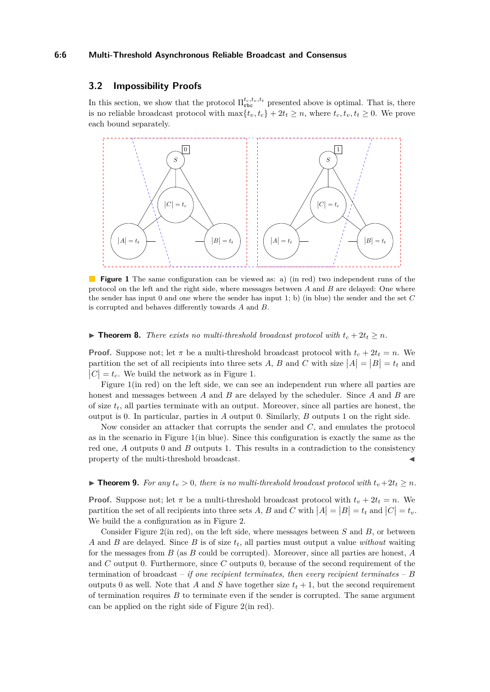#### **6:6 Multi-Threshold Asynchronous Reliable Broadcast and Consensus**

# **3.2 Impossibility Proofs**

In this section, we show that the protocol  $\Pi_{\text{rbc}}^{t_c,t_v,t_t}$  presented above is optimal. That is, there is no reliable broadcast protocol with  $\max\{t_v, t_c\} + 2t_t \geq n$ , where  $t_c, t_v, t_t \geq 0$ . We prove each bound separately.

<span id="page-6-0"></span>

**Figure 1** The same configuration can be viewed as: a) (in red) two independent runs of the protocol on the left and the right side, where messages between *A* and *B* are delayed: One where the sender has input 0 and one where the sender has input 1; b) (in blue) the sender and the set *C* is corrupted and behaves differently towards *A* and *B*.

▶ **Theorem 8.** *There exists no multi-threshold broadcast protocol with*  $t_c + 2t_t ≥ n$ *.* 

**Proof.** Suppose not; let  $\pi$  be a multi-threshold broadcast protocol with  $t_c + 2t_t = n$ . We partition the set of all recipients into three sets A, B and C with size  $|A| = |B| = t_t$  and  $|C| = t_c$ . We build the network as in Figure [1.](#page-6-0)

Figure [1\(](#page-6-0)in red) on the left side, we can see an independent run where all parties are honest and messages between *A* and *B* are delayed by the scheduler. Since *A* and *B* are of size *tt*, all parties terminate with an output. Moreover, since all parties are honest, the output is 0. In particular, parties in *A* output 0. Similarly, *B* outputs 1 on the right side.

Now consider an attacker that corrupts the sender and *C*, and emulates the protocol as in the scenario in Figure [1\(](#page-6-0)in blue). Since this configuration is exactly the same as the red one, *A* outputs 0 and *B* outputs 1. This results in a contradiction to the consistency property of the multi-threshold broadcast.

#### ▶ **Theorem 9.** *For any*  $t_v > 0$ *, there is no multi-threshold broadcast protocol with*  $t_v + 2t_t ≥ n$ *.*

**Proof.** Suppose not; let  $\pi$  be a multi-threshold broadcast protocol with  $t_v + 2t_t = n$ . We partition the set of all recipients into three sets  $A, B$  and  $C$  with  $|A| = |B| = t_t$  and  $|C| = t_v$ . We build the a configuration as in Figure [2.](#page-7-0)

Consider Figure [2\(](#page-7-0)in red), on the left side, where messages between *S* and *B*, or between *A* and *B* are delayed. Since *B* is of size *tt*, all parties must output a value *without* waiting for the messages from *B* (as *B* could be corrupted). Moreover, since all parties are honest, *A* and *C* output 0. Furthermore, since *C* outputs 0, because of the second requirement of the termination of broadcast – *if one recipient terminates, then every recipient terminates* – *B* outputs 0 as well. Note that *A* and *S* have together size  $t_t + 1$ , but the second requirement of termination requires *B* to terminate even if the sender is corrupted. The same argument can be applied on the right side of Figure [2\(](#page-7-0)in red).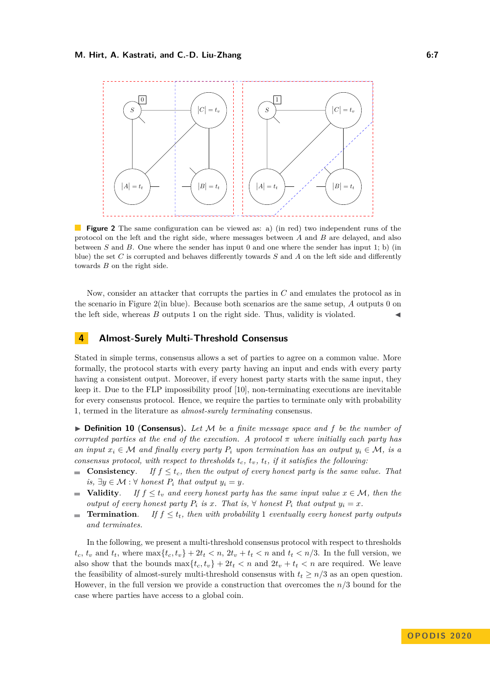<span id="page-7-0"></span>

**Figure 2** The same configuration can be viewed as: a) (in red) two independent runs of the protocol on the left and the right side, where messages between *A* and *B* are delayed, and also between *S* and *B*. One where the sender has input 0 and one where the sender has input 1; b) (in blue) the set *C* is corrupted and behaves differently towards *S* and *A* on the left side and differently towards *B* on the right side.

Now, consider an attacker that corrupts the parties in *C* and emulates the protocol as in the scenario in Figure [2\(](#page-7-0)in blue). Because both scenarios are the same setup, *A* outputs 0 on the left side, whereas  $B$  outputs 1 on the right side. Thus, validity is violated.

# <span id="page-7-2"></span>**4 Almost-Surely Multi-Threshold Consensus**

Stated in simple terms, consensus allows a set of parties to agree on a common value. More formally, the protocol starts with every party having an input and ends with every party having a consistent output. Moreover, if every honest party starts with the same input, they keep it. Due to the FLP impossibility proof [\[10\]](#page-15-15), non-terminating executions are inevitable for every consensus protocol. Hence, we require the parties to terminate only with probability 1, termed in the literature as *almost-surely terminating* consensus.

<span id="page-7-1"></span>I **Definition 10** (**Consensus**)**.** *Let* M *be a finite message space and f be the number of corrupted parties at the end of the execution. A protocol*  $\pi$  *where initially each party has an input*  $x_i \in \mathcal{M}$  *and finally every party*  $P_i$  *upon termination has an output*  $y_i \in \mathcal{M}$ , *is a consensus protocol, with respect to thresholds*  $t_c$ ,  $t_v$ ,  $t_t$ , *if it satisfies the following:* 

- **Consistency.** If  $f \leq t_c$ , then the output of every honest party is the same value. That *is*, ∃*y* ∈ *M* :  $\forall$  *honest P*<sub>*i*</sub> *that output y*<sub>*i*</sub> = *y.*
- **Validity**. *If*  $f \le t_v$  *and every honest party has the same input value*  $x \in M$ *, then the output of every honest party*  $P_i$  *is*  $x$ *. That is,*  $\forall$  *honest*  $P_i$  *that output*  $y_i = x$ *.*
- **Termination.** *If*  $f \leq t_t$ *, then with probability* 1 *eventually every honest party outputs*  $\sim$ *and terminates.*

In the following, we present a multi-threshold consensus protocol with respect to thresholds  $t_c, t_v$  and  $t_t$ , where  $\max\{t_c, t_v\} + 2t_t < n$ ,  $2t_v + t_t < n$  and  $t_t < n/3$ . In the full version, we also show that the bounds  $\max\{t_c, t_v\} + 2t_t < n$  and  $2t_v + t_t < n$  are required. We leave the feasibility of almost-surely multi-threshold consensus with  $t_t \geq n/3$  as an open question. However, in the full version we provide a construction that overcomes the *n/*3 bound for the case where parties have access to a global coin.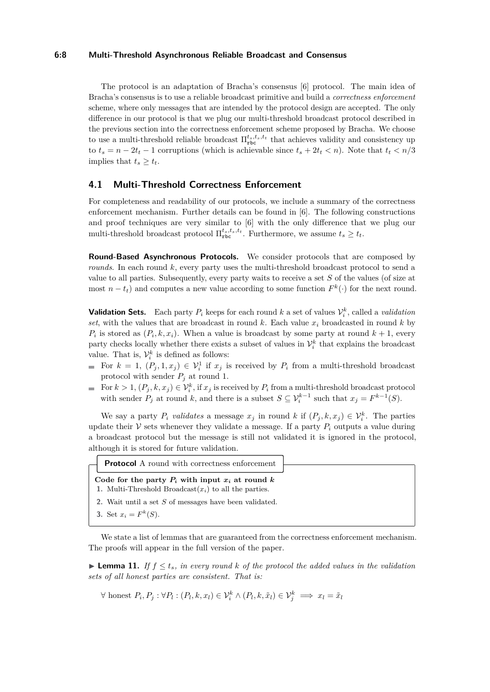#### **6:8 Multi-Threshold Asynchronous Reliable Broadcast and Consensus**

The protocol is an adaptation of Bracha's consensus [\[6\]](#page-15-1) protocol. The main idea of Bracha's consensus is to use a reliable broadcast primitive and build a *correctness enforcement* scheme, where only messages that are intended by the protocol design are accepted. The only difference in our protocol is that we plug our multi-threshold broadcast protocol described in the previous section into the correctness enforcement scheme proposed by Bracha. We choose to use a multi-threshold reliable broadcast  $\Pi_{\text{rbc}}^{t_s,t_s,t_t}$  that achieves validity and consistency up to  $t_s = n - 2t_t - 1$  corruptions (which is achievable since  $t_s + 2t_t < n$ ). Note that  $t_t < n/3$ implies that  $t_s \geq t_t$ .

# **4.1 Multi-Threshold Correctness Enforcement**

For completeness and readability of our protocols, we include a summary of the correctness enforcement mechanism. Further details can be found in [\[6\]](#page-15-1). The following constructions and proof techniques are very similar to [\[6\]](#page-15-1) with the only difference that we plug our multi-threshold broadcast protocol  $\Pi_{\text{rbc}}^{t_s, t_s, t_t}$ . Furthermore, we assume  $t_s \geq t_t$ .

**Round-Based Asynchronous Protocols.** We consider protocols that are composed by *rounds*. In each round *k*, every party uses the multi-threshold broadcast protocol to send a value to all parties. Subsequently, every party waits to receive a set *S* of the values (of size at most  $n - t_t$ ) and computes a new value according to some function  $F^k(\cdot)$  for the next round.

**Validation Sets.** Each party  $P_i$  keeps for each round  $k$  a set of values  $\mathcal{V}_i^k$ , called a *validation* set, with the values that are broadcast in round  $k$ . Each value  $x_i$  broadcasted in round  $k$  by  $P_i$  is stored as  $(P_i, k, x_i)$ . When a value is broadcast by some party at round  $k + 1$ , every party checks locally whether there exists a subset of values in  $\mathcal{V}_i^k$  that explains the broadcast value. That is,  $\mathcal{V}_i^k$  is defined as follows:

- For  $k = 1$ ,  $(P_j, 1, x_j) \in V_i^1$  if  $x_j$  is received by  $P_i$  from a multi-threshold broadcast protocol with sender  $P_i$  at round 1.
- For  $k > 1$ ,  $(P_j, k, x_j) \in V_i^k$ , if  $x_j$  is received by  $P_i$  from a multi-threshold broadcast protocol m. with sender  $P_j$  at round  $k$ , and there is a subset  $S \subseteq \mathcal{V}_i^{k-1}$  such that  $x_j = F^{k-1}(S)$ .

We say a party  $P_i$  *validates* a message  $x_j$  in round  $k$  if  $(P_j, k, x_j) \in \mathcal{V}_i^k$ . The parties update their  $V$  sets whenever they validate a message. If a party  $P_i$  outputs a value during a broadcast protocol but the message is still not validated it is ignored in the protocol, although it is stored for future validation.

| <b>Protocol</b> A round with correctness enforcement                                                             |  |
|------------------------------------------------------------------------------------------------------------------|--|
| Code for the party $P_i$ with input $x_i$ at round k<br>1. Multi-Threshold Broadcast $(x_i)$ to all the parties. |  |
| 2. Wait until a set S of messages have been validated.                                                           |  |
| 3. Set $x_i = F^k(S)$ .                                                                                          |  |

We state a list of lemmas that are guaranteed from the correctness enforcement mechanism. The proofs will appear in the full version of the paper.

<span id="page-8-0"></span>**Lemma 11.** If  $f \le t_s$ , in every round k of the protocol the added values in the validation *sets of all honest parties are consistent. That is:*

 $\forall$  honest  $P_i, P_j : \forall P_l : (P_l, k, x_l) \in \mathcal{V}_i^k \land (P_l, k, \tilde{x}_l) \in \mathcal{V}_j^k \implies x_l = \tilde{x}_l$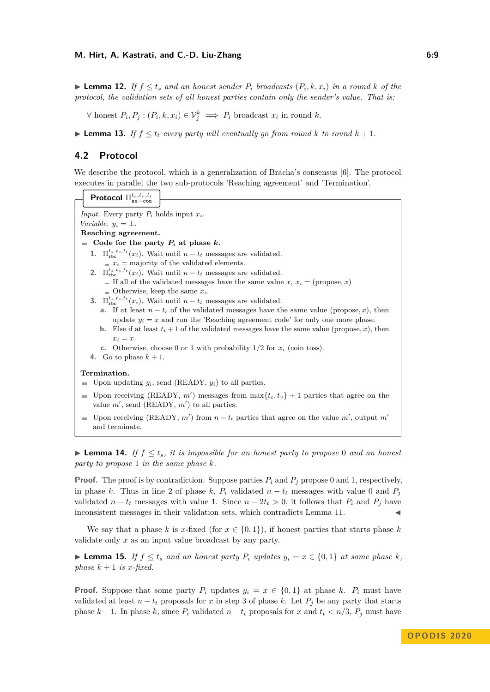#### **M. Hirt, A. Kastrati, and C.-D. Liu-Zhang 6:9 6:9 6:9**

▶ **Lemma 12.** *If*  $f \le t_s$  *and an honest sender*  $P_i$  *broadcasts*  $(P_i, k, x_i)$  *in a round*  $k$  *of the protocol, the validation sets of all honest parties contain only the sender's value. That is:*

∀ honest  $P_i, P_j : (P_i, k, x_i) \in \mathcal{V}_j^k \implies P_i$  broadcast  $x_i$  in round  $k$ .

<span id="page-9-1"></span>▶ **Lemma 13.** *If*  $f \le t_t$  *every party will eventually go from round*  $k$  *to round*  $k + 1$ *.* 

# **4.2 Protocol**

We describe the protocol, which is a generalization of Bracha's consensus [\[6\]](#page-15-1). The protocol executes in parallel the two sub-protocols 'Reaching agreement' and 'Termination'.

|                                                                                                                                                                | <b>Protocol</b> $\Pi_{\text{as-con}}^{t_c,t_v,t_t}$                                                     |  |  |
|----------------------------------------------------------------------------------------------------------------------------------------------------------------|---------------------------------------------------------------------------------------------------------|--|--|
|                                                                                                                                                                |                                                                                                         |  |  |
| <i>Input.</i> Every party $P_i$ holds input $x_i$ .                                                                                                            |                                                                                                         |  |  |
| <i>Variable.</i> $y_i = \perp$ .                                                                                                                               |                                                                                                         |  |  |
| Reaching agreement.                                                                                                                                            |                                                                                                         |  |  |
| Code for the party $P_i$ at phase k.                                                                                                                           |                                                                                                         |  |  |
|                                                                                                                                                                | 1. $\Pi_{\text{rbc}}^{t_s,t_s,t_t}(x_i)$ . Wait until $n-t_t$ messages are validated.                   |  |  |
|                                                                                                                                                                | $x_i$ = majority of the validated elements.                                                             |  |  |
|                                                                                                                                                                | 2. $\Pi_{\text{rbc}}^{t_s,t_s,t_t}(x_i)$ . Wait until $n-t_t$ messages are validated.                   |  |  |
|                                                                                                                                                                | If all of the validated messages have the same value x, $x_i = (propose, x)$                            |  |  |
|                                                                                                                                                                | $\blacksquare$ Otherwise, keep the same $x_i$ .                                                         |  |  |
|                                                                                                                                                                | 3. $\Pi_{\text{rbc}}^{t_s,t_s,t_t}(x_i)$ . Wait until $n-t_t$ messages are validated.                   |  |  |
| <b>a.</b> If at least $n - t_t$ of the validated messages have the same value (propose, x), then                                                               |                                                                                                         |  |  |
|                                                                                                                                                                | update $y_i = x$ and run the 'Reaching agreement code' for only one more phase.                         |  |  |
|                                                                                                                                                                | <b>b.</b> Else if at least $t_t + 1$ of the validated messages have the same value (propose, x), then   |  |  |
|                                                                                                                                                                | $x_i = x$ .                                                                                             |  |  |
|                                                                                                                                                                | <b>c.</b> Otherwise, choose 0 or 1 with probability $1/2$ for $x_i$ (coin toss).                        |  |  |
|                                                                                                                                                                | 4. Go to phase $k+1$ .                                                                                  |  |  |
|                                                                                                                                                                | Termination.                                                                                            |  |  |
|                                                                                                                                                                |                                                                                                         |  |  |
|                                                                                                                                                                | Upon updating $y_i$ , send (READY, $y_i$ ) to all parties.                                              |  |  |
| Upon receiving (READY, m') messages from $\max\{t_c, t_v\} + 1$ parties that agree on the<br>$\mathcal{L}$<br>value $m'$ , send (READY, $m'$ ) to all parties. |                                                                                                         |  |  |
|                                                                                                                                                                | Upon receiving (READY, m') from $n-t_t$ parties that agree on the value m', output m'<br>and terminate. |  |  |

<span id="page-9-0"></span>► Lemma 14. If  $f \le t_s$ , it is impossible for an honest party to propose 0 and an honest *party to propose* 1 *in the same phase k.*

**Proof.** The proof is by contradiction. Suppose parties  $P_i$  and  $P_j$  propose 0 and 1, respectively, in phase *k*. Thus in line 2 of phase *k*,  $P_i$  validated  $n - t_t$  messages with value 0 and  $P_i$ validated *n* − *t*<sub>t</sub> messages with value 1. Since  $n - 2t$ <sub>*t*</sub> > 0, it follows that  $P_i$  and  $P_j$  have inconsistent messages in their validation sets, which contradicts Lemma [11.](#page-8-0)

We say that a phase *k* is *x*-fixed (for  $x \in \{0, 1\}$ ), if honest parties that starts phase *k* validate only *x* as an input value broadcast by any party.

<span id="page-9-2"></span>▶ **Lemma 15.** *If*  $f \le t_s$  *and an honest party*  $P_i$  *updates*  $y_i = x \in \{0, 1\}$  *at some phase*  $k$ *, phase*  $k + 1$  *is x-fixed.* 

**Proof.** Suppose that some party  $P_i$  updates  $y_i = x \in \{0,1\}$  at phase *k*.  $P_i$  must have validated at least  $n - t_t$  proposals for *x* in step 3 of phase *k*. Let  $P_j$  be any party that starts phase  $k + 1$ . In phase  $k$ , since  $P_i$  validated  $n - t_t$  proposals for  $x$  and  $t_t < n/3$ ,  $P_j$  must have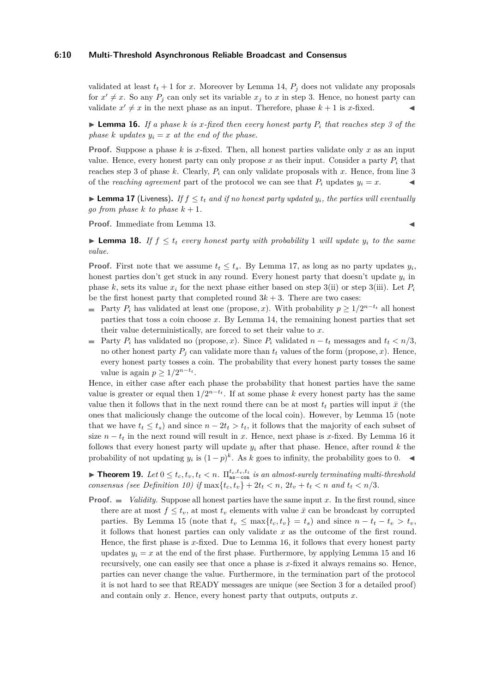#### **6:10 Multi-Threshold Asynchronous Reliable Broadcast and Consensus**

validated at least  $t_t + 1$  for *x*. Moreover by Lemma [14,](#page-9-0)  $P_i$  does not validate any proposals for  $x' \neq x$ . So any  $P_j$  can only set its variable  $x_j$  to  $x$  in step 3. Hence, no honest party can validate  $x' \neq x$  in the next phase as an input. Therefore, phase  $k + 1$  is *x*-fixed.

<span id="page-10-1"></span> $\triangleright$  **Lemma 16.** *If a phase k is x-fixed then every honest party*  $P_i$  *that reaches step 3 of the phase k updates*  $y_i = x$  *at the end of the phase.* 

**Proof.** Suppose a phase *k* is *x*-fixed. Then, all honest parties validate only *x* as an input value. Hence, every honest party can only propose  $x$  as their input. Consider a party  $P_i$  that reaches step 3 of phase  $k$ . Clearly,  $P_i$  can only validate proposals with  $x$ . Hence, from line 3 of the *reaching agreement* part of the protocol we can see that  $P_i$  updates  $y_i = x$ .

<span id="page-10-0"></span>**Lemma 17** (Liveness). If  $f \leq t_t$  and if no honest party updated  $y_i$ , the parties will eventually *go from phase*  $k$  *to phase*  $k + 1$ *.* 

**Proof.** Immediate from Lemma [13.](#page-9-1)

<span id="page-10-2"></span>► **Lemma 18.** *If*  $f ≤ t$ *tt every honest party with probability* 1 *will update*  $y$ *i to the same value.*

**Proof.** First note that we assume  $t_t \leq t_s$ . By Lemma [17,](#page-10-0) as long as no party updates  $y_i$ , honest parties don't get stuck in any round. Every honest party that doesn't update  $y_i$  in phase *k*, sets its value  $x_i$  for the next phase either based on step 3(ii) or step 3(iii). Let  $P_i$ be the first honest party that completed round  $3k + 3$ . There are two cases:

- Party  $P_i$  has validated at least one (propose, x). With probability  $p \geq 1/2^{n-t_t}$  all honest parties that toss a coin choose *x*. By Lemma [14,](#page-9-0) the remaining honest parties that set their value deterministically, are forced to set their value to *x*.
- Party  $P_i$  has validated no (propose, x). Since  $P_i$  validated  $n t_t$  messages and  $t_t < n/3$ , no other honest party  $P_i$  can validate more than  $t_t$  values of the form (propose, x). Hence, every honest party tosses a coin. The probability that every honest party tosses the same value is again  $p \geq 1/2^{n-t_t}$ .

Hence, in either case after each phase the probability that honest parties have the same value is greater or equal then  $1/2^{n-t_t}$ . If at some phase *k* every honest party has the same value then it follows that in the next round there can be at most  $t_t$  parties will input  $\bar{x}$  (the ones that maliciously change the outcome of the local coin). However, by Lemma [15](#page-9-2) (note that we have  $t_t \leq t_s$  and since  $n - 2t_t > t_t$ , it follows that the majority of each subset of size  $n - t$ <sup>*t*</sup> in the next round will result in *x*. Hence, next phase is *x*-fixed. By Lemma [16](#page-10-1) it follows that every honest party will update  $y_i$  after that phase. Hence, after round  $k$  the probability of not updating  $y_i$  is  $(1-p)^k$ . As *k* goes to infinity, the probability goes to 0.

▶ **Theorem 19.** *Let*  $0 \le t_c, t_v, t_t < n$ .  $\Pi_{as-con}^{t_c, t_v, t_t}$  *is an almost-surely terminating multi-threshold* consensus (see Definition [10\)](#page-7-1) if  $\max\{t_c, t_v\} + 2t_t < n$ ,  $2t_v + t_t < n$  and  $t_t < n/3$ .

**Proof.**  $\blacksquare$  Validity. Suppose all honest parties have the same input x. In the first round, since there are at most  $f \leq t_v$ , at most  $t_v$  elements with value  $\bar{x}$  can be broadcast by corrupted parties. By Lemma [15](#page-9-2) (note that  $t_v \leq \max\{t_c, t_v\} = t_s$ ) and since  $n - t_t - t_v > t_v$ , it follows that honest parties can only validate *x* as the outcome of the first round. Hence, the first phase is *x*-fixed. Due to Lemma [16,](#page-10-1) it follows that every honest party updates  $y_i = x$  at the end of the first phase. Furthermore, by applying Lemma [15](#page-9-2) and [16](#page-10-1) recursively, one can easily see that once a phase is *x*-fixed it always remains so. Hence, parties can never change the value. Furthermore, in the termination part of the protocol it is not hard to see that READY messages are unique (see Section 3 for a detailed proof) and contain only *x*. Hence, every honest party that outputs, outputs *x*.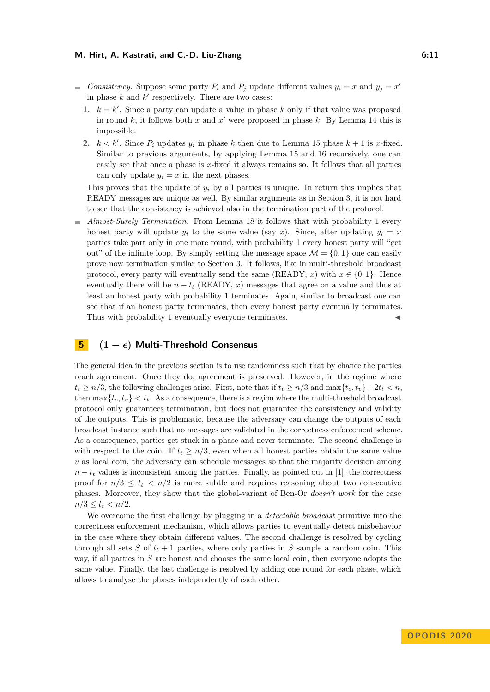#### **M. Hirt, A. Kastrati, and C.-D. Liu-Zhang 6:11** 6:11

- *Consistency.* Suppose some party  $P_i$  and  $P_j$  update different values  $y_i = x$  and  $y_j = x'$ in phase  $k$  and  $k'$  respectively. There are two cases:
	- 1.  $k = k'$ . Since a party can update a value in phase k only if that value was proposed in round  $k$ , it follows both  $x$  and  $x'$  were proposed in phase  $k$ . By Lemma [14](#page-9-0) this is impossible.
	- 2.  $k < k'$ . Since  $P_i$  updates  $y_i$  in phase  $k$  then due to Lemma [15](#page-9-2) phase  $k + 1$  is *x*-fixed. Similar to previous arguments, by applying Lemma [15](#page-9-2) and [16](#page-10-1) recursively, one can easily see that once a phase is *x*-fixed it always remains so. It follows that all parties can only update  $y_i = x$  in the next phases.

This proves that the update of  $y_i$  by all parties is unique. In return this implies that READY messages are unique as well. By similar arguments as in Section 3, it is not hard to see that the consistency is achieved also in the termination part of the protocol.

*Almost-Surely Termination.* From Lemma [18](#page-10-2) it follows that with probability 1 every  $\blacksquare$ honest party will update  $y_i$  to the same value (say *x*). Since, after updating  $y_i = x$ parties take part only in one more round, with probability 1 every honest party will "get out" of the infinite loop. By simply setting the message space  $\mathcal{M} = \{0, 1\}$  one can easily prove now termination similar to Section 3. It follows, like in multi-threshold broadcast protocol, every party will eventually send the same (READY, *x*) with  $x \in \{0, 1\}$ . Hence eventually there will be  $n - t$ <sup>*t*</sup> (READY, *x*) messages that agree on a value and thus at least an honest party with probability 1 terminates. Again, similar to broadcast one can see that if an honest party terminates, then every honest party eventually terminates. Thus with probability 1 eventually everyone terminates.

# **5 (1 − ) Multi-Threshold Consensus**

The general idea in the previous section is to use randomness such that by chance the parties reach agreement. Once they do, agreement is preserved. However, in the regime where  $t_t \geq n/3$ , the following challenges arise. First, note that if  $t_t \geq n/3$  and  $\max\{t_c, t_v\} + 2t_t < n$ . then  $\max\{t_c, t_v\} < t_t$ . As a consequence, there is a region where the multi-threshold broadcast protocol only guarantees termination, but does not guarantee the consistency and validity of the outputs. This is problematic, because the adversary can change the outputs of each broadcast instance such that no messages are validated in the correctness enforcement scheme. As a consequence, parties get stuck in a phase and never terminate. The second challenge is with respect to the coin. If  $t_t \geq n/3$ , even when all honest parties obtain the same value *v* as local coin, the adversary can schedule messages so that the majority decision among  $n - t_t$  values is inconsistent among the parties. Finally, as pointed out in [\[1\]](#page-14-4), the correctness proof for  $n/3 \le t_t < n/2$  is more subtle and requires reasoning about two consecutive phases. Moreover, they show that the global-variant of Ben-Or *doesn't work* for the case  $n/3 \le t_t < n/2$ .

We overcome the first challenge by plugging in a *detectable broadcast* primitive into the correctness enforcement mechanism, which allows parties to eventually detect misbehavior in the case where they obtain different values. The second challenge is resolved by cycling through all sets *S* of  $t_t + 1$  parties, where only parties in *S* sample a random coin. This way, if all parties in *S* are honest and chooses the same local coin, then everyone adopts the same value. Finally, the last challenge is resolved by adding one round for each phase, which allows to analyse the phases independently of each other.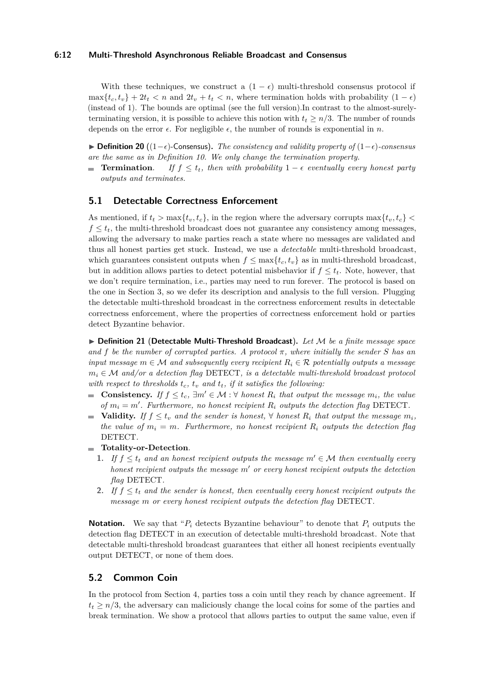#### **6:12 Multi-Threshold Asynchronous Reliable Broadcast and Consensus**

With these techniques, we construct a  $(1 - \epsilon)$  multi-threshold consensus protocol if  $\max\{t_c, t_v\} + 2t_t < n$  and  $2t_v + t_t < n$ , where termination holds with probability  $(1 - \epsilon)$ (instead of 1). The bounds are optimal (see the full version).In contrast to the almost-surelyterminating version, it is possible to achieve this notion with  $t_t \geq n/3$ . The number of rounds depends on the error  $\epsilon$ . For negligible  $\epsilon$ , the number of rounds is exponential in *n*.

 $\triangleright$  **Definition 20** ((1− $\epsilon$ )-Consensus). *The consistency and validity property of* (1− $\epsilon$ )-consensus *are the same as in Definition [10.](#page-7-1) We only change the termination property.*

**Termination.** If  $f \leq t_t$ , then with probability  $1 - \epsilon$  eventually every honest party *outputs and terminates.*

#### **5.1 Detectable Correctness Enforcement**

As mentioned, if  $t_t > \max\{t_v, t_c\}$ , in the region where the adversary corrupts  $\max\{t_v, t_c\}$  $f \leq t_t$ , the multi-threshold broadcast does not guarantee any consistency among messages, allowing the adversary to make parties reach a state where no messages are validated and thus all honest parties get stuck. Instead, we use a *detectable* multi-threshold broadcast, which guarantees consistent outputs when  $f \leq \max\{t_c, t_v\}$  as in multi-threshold broadcast, but in addition allows parties to detect potential misbehavior if  $f \leq t_t$ . Note, however, that we don't require termination, i.e., parties may need to run forever. The protocol is based on the one in Section [3,](#page-3-1) so we defer its description and analysis to the full version. Plugging the detectable multi-threshold broadcast in the correctness enforcement results in detectable correctness enforcement, where the properties of correctness enforcement hold or parties detect Byzantine behavior.

I **Definition 21** (**Detectable Multi-Threshold Broadcast**)**.** *Let* M *be a finite message space and f be the number of corrupted parties. A protocol*  $\pi$ , where initially the sender *S* has an *input message*  $m \in \mathcal{M}$  *and subsequently every recipient*  $R_i \in \mathcal{R}$  *potentially outputs a message*  $m_i \in \mathcal{M}$  *and/or a detection flag* DETECT, *is a detectable multi-threshold broadcast protocol with respect to thresholds*  $t_c$ ,  $t_v$  *and*  $t_t$ *, if it satisfies the following:* 

- **Consistency.** *If*  $f \le t_c$ ,  $\exists m' \in \mathcal{M} : \forall$  *honest*  $R_i$  *that output the message*  $m_i$ *, the value of*  $m_i = m'$ . Furthermore, no honest recipient  $R_i$  outputs the detection flag DETECT.
- **Validity.** *If*  $f \leq t_v$  *and the sender is honest*,  $\forall$  *honest*  $R_i$  *that output the message*  $m_i$ *,* m. *the value of*  $m_i = m$ *. Furthermore, no honest recipient*  $R_i$  *outputs the detection flag* DETECT*.*
- **Totality-or-Detection**.
	- **1.** If  $f \leq t_t$  and an honest recipient outputs the message  $m' \in \mathcal{M}$  then eventually every *honest recipient outputs the message*  $m'$  *or every honest recipient outputs the detection flag* DETECT*.*
	- **2.** If  $f \leq t_t$  and the sender is honest, then eventually every honest recipient outputs the *message m or every honest recipient outputs the detection flag* DETECT*.*

**Notation.** We say that " $P_i$  detects Byzantine behaviour" to denote that  $P_i$  outputs the detection flag DETECT in an execution of detectable multi-threshold broadcast. Note that detectable multi-threshold broadcast guarantees that either all honest recipients eventually output DETECT, or none of them does.

## <span id="page-12-0"></span>**5.2 Common Coin**

In the protocol from Section [4,](#page-7-2) parties toss a coin until they reach by chance agreement. If  $t_t \geq n/3$ , the adversary can maliciously change the local coins for some of the parties and break termination. We show a protocol that allows parties to output the same value, even if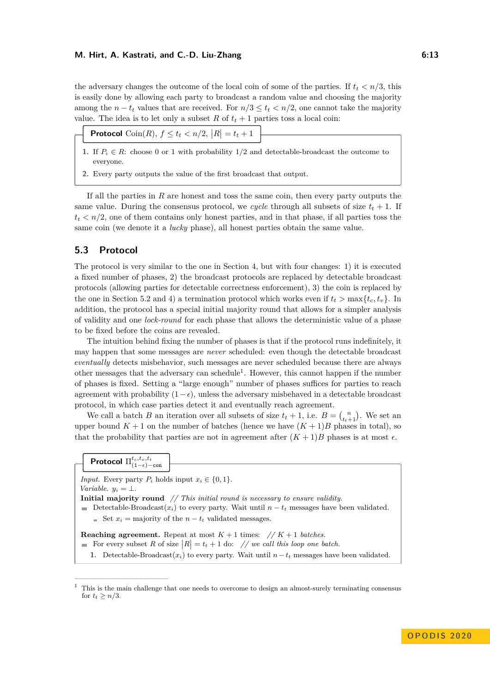#### **M. Hirt, A. Kastrati, and C.-D. Liu-Zhang 6:13** 6:13

the adversary changes the outcome of the local coin of some of the parties. If  $t_t < n/3$ , this is easily done by allowing each party to broadcast a random value and choosing the majority among the  $n - t_t$  values that are received. For  $n/3 \le t_t \le n/2$ , one cannot take the majority value. The idea is to let only a subset  $R$  of  $t_t + 1$  parties toss a local coin:

- **1.** If  $P_i \in \mathbb{R}$ : choose 0 or 1 with probability 1/2 and detectable-broadcast the outcome to everyone.
- **2.** Every party outputs the value of the first broadcast that output.

If all the parties in *R* are honest and toss the same coin, then every party outputs the same value. During the consensus protocol, we *cycle* through all subsets of size  $t_t + 1$ . If  $t_t < n/2$ , one of them contains only honest parties, and in that phase, if all parties toss the same coin (we denote it a *lucky* phase), all honest parties obtain the same value.

# **5.3 Protocol**

The protocol is very similar to the one in Section [4,](#page-7-2) but with four changes: 1) it is executed a fixed number of phases, 2) the broadcast protocols are replaced by detectable broadcast protocols (allowing parties for detectable correctness enforcement), 3) the coin is replaced by the one in Section [5.2](#page-12-0) and 4) a termination protocol which works even if  $t_t > \max\{t_c, t_v\}$ . In addition, the protocol has a special initial majority round that allows for a simpler analysis of validity and one *lock-round* for each phase that allows the deterministic value of a phase to be fixed before the coins are revealed.

The intuition behind fixing the number of phases is that if the protocol runs indefinitely, it may happen that some messages are *never* scheduled: even though the detectable broadcast *eventually* detects misbehavior, such messages are never scheduled because there are always other messages that the adversary can schedule<sup>[1](#page-13-0)</sup>. However, this cannot happen if the number of phases is fixed. Setting a "large enough" number of phases suffices for parties to reach agreement with probability  $(1-\epsilon)$ , unless the adversary misbehaved in a detectable broadcast protocol, in which case parties detect it and eventually reach agreement.

We call a batch *B* an iteration over all subsets of size  $t_t + 1$ , i.e.  $B = \binom{n}{t_t+1}$ . We set an upper bound  $K + 1$  on the number of batches (hence we have  $(K + 1)B$  phases in total), so that the probability that parties are not in agreement after  $(K+1)B$  phases is at most  $\epsilon$ .

|  | <b>Protocol</b> $\Pi_{(1-\epsilon)-\text{con}}^{t_c,t_v,t_t}$ |
|--|---------------------------------------------------------------|
|--|---------------------------------------------------------------|

*Input.* Every party  $P_i$  holds input  $x_i \in \{0, 1\}.$ *Variable.*  $y_i = \perp$ . **Initial majority round** *// This initial round is necessary to ensure validity.* Detectable-Broadcast $(x_i)$  to every party. Wait until  $n - t_t$  messages have been validated.  $\leq$  Set  $x_i$  = majority of the  $n - t_i$  validated messages. **Reaching agreement.** Repeat at most  $K + 1$  times:  $// K + 1$  *batches.* For every subset R of size  $|R| = t_t + 1$  do: // we call this loop one batch. 1. Detectable-Broadcast $(x_i)$  to every party. Wait until  $n-t_t$  messages have been validated.

<span id="page-13-0"></span> $1$ . This is the main challenge that one needs to overcome to design an almost-surely terminating consensus for  $t_t \geq n/3$ .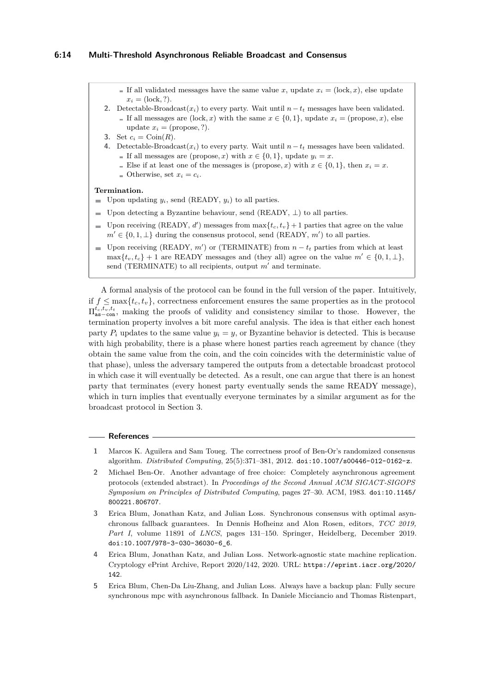If all validated messages have the same value x, update  $x_i = (\text{lock}, x)$ , else update  $x_i = (\text{lock}, ?).$ 

- 2. Detectable-Broadcast $(x_i)$  to every party. Wait until  $n-t$ *i* messages have been validated. If all messages are  $(\text{lock}, x)$  with the same  $x \in \{0, 1\}$ , update  $x_i = (\text{propose}, x)$ , else update  $x_i = ($ propose, ?).
- **3.** Set  $c_i = \text{Coin}(R)$ .
- **4.** Detectable-Broadcast(*xi*) to every party. Wait until *n*−*t<sup>t</sup>* messages have been validated. If all messages are (propose, x) with  $x \in \{0, 1\}$ , update  $y_i = x$ .
	- Else if at least one of the messages is (propose, x) with  $x \in \{0, 1\}$ , then  $x_i = x$ .
	- $\blacksquare$  Otherwise, set  $x_i = c_i$ .

#### **Termination.**

- Upon updating *yi*, send (READY, *yi*) to all parties.
- Upon detecting a Byzantine behaviour, send (READY,  $\perp$ ) to all parties.
- Upon receiving (READY, *d'*) messages from  $\max\{t_c, t_v\} + 1$  parties that agree on the value  $m' \in \{0, 1, \perp\}$  during the consensus protocol, send (READY,  $m'$ ) to all parties.
- Upon receiving (READY,  $m'$ ) or (TERMINATE) from  $n t_t$  parties from which at least  $\max\{t_v, t_c\} + 1$  are READY messages and (they all) agree on the value  $m' \in \{0, 1, \perp\},\$ send (TERMINATE) to all recipients, output  $m'$  and terminate.

A formal analysis of the protocol can be found in the full version of the paper. Intuitively, if  $f \n\t\leq \max\{t_c, t_v\}$ , correctness enforcement ensures the same properties as in the protocol Π *tc,tv,t<sup>t</sup>* as−con, making the proofs of validity and consistency similar to those. However, the termination property involves a bit more careful analysis. The idea is that either each honest party  $P_i$  updates to the same value  $y_i = y$ , or Byzantine behavior is detected. This is because with high probability, there is a phase where honest parties reach agreement by chance (they obtain the same value from the coin, and the coin coincides with the deterministic value of that phase), unless the adversary tampered the outputs from a detectable broadcast protocol in which case it will eventually be detected. As a result, one can argue that there is an honest party that terminates (every honest party eventually sends the same READY message), which in turn implies that eventually everyone terminates by a similar argument as for the broadcast protocol in Section [3.](#page-3-1)

#### **References**

- <span id="page-14-4"></span>**1** Marcos K. Aguilera and Sam Toueg. The correctness proof of Ben-Or's randomized consensus algorithm. *Distributed Computing*, 25(5):371–381, 2012. [doi:10.1007/s00446-012-0162-z](https://doi.org/10.1007/s00446-012-0162-z).
- <span id="page-14-0"></span>**2** Michael Ben-Or. Another advantage of free choice: Completely asynchronous agreement protocols (extended abstract). In *Proceedings of the Second Annual ACM SIGACT-SIGOPS Symposium on Principles of Distributed Computing*, pages 27–30. ACM, 1983. [doi:10.1145/](https://doi.org/10.1145/800221.806707) [800221.806707](https://doi.org/10.1145/800221.806707).
- <span id="page-14-1"></span>**3** Erica Blum, Jonathan Katz, and Julian Loss. Synchronous consensus with optimal asynchronous fallback guarantees. In Dennis Hofheinz and Alon Rosen, editors, *TCC 2019, Part I*, volume 11891 of *LNCS*, pages 131–150. Springer, Heidelberg, December 2019. [doi:10.1007/978-3-030-36030-6\\_6](https://doi.org/10.1007/978-3-030-36030-6_6).
- <span id="page-14-2"></span>**4** Erica Blum, Jonathan Katz, and Julian Loss. Network-agnostic state machine replication. Cryptology ePrint Archive, Report 2020/142, 2020. URL: [https://eprint.iacr.org/2020/](https://eprint.iacr.org/2020/142) [142](https://eprint.iacr.org/2020/142).
- <span id="page-14-3"></span>**5** Erica Blum, Chen-Da Liu-Zhang, and Julian Loss. Always have a backup plan: Fully secure synchronous mpc with asynchronous fallback. In Daniele Micciancio and Thomas Ristenpart,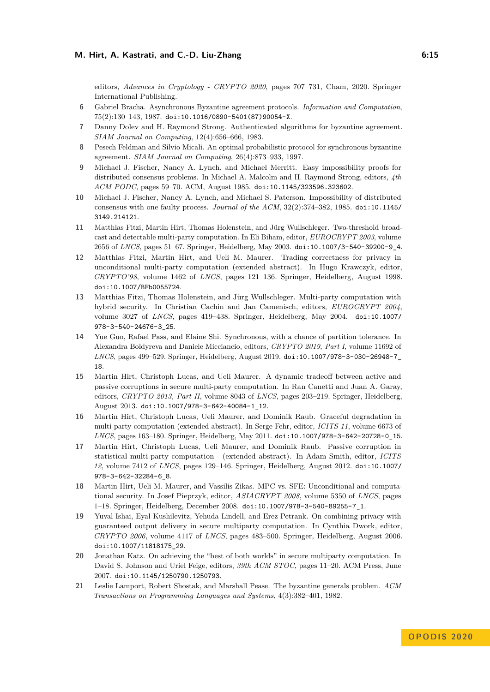editors, *Advances in Cryptology - CRYPTO 2020*, pages 707–731, Cham, 2020. Springer International Publishing.

- <span id="page-15-1"></span>**6** Gabriel Bracha. Asynchronous Byzantine agreement protocols. *Information and Computation*, 75(2):130–143, 1987. [doi:10.1016/0890-5401\(87\)90054-X](https://doi.org/10.1016/0890-5401(87)90054-X).
- <span id="page-15-2"></span>**7** Danny Dolev and H. Raymond Strong. Authenticated algorithms for byzantine agreement. *SIAM Journal on Computing*, 12(4):656–666, 1983.
- <span id="page-15-3"></span>**8** Pesech Feldman and Silvio Micali. An optimal probabilistic protocol for synchronous byzantine agreement. *SIAM Journal on Computing*, 26(4):873–933, 1997.
- <span id="page-15-4"></span>**9** Michael J. Fischer, Nancy A. Lynch, and Michael Merritt. Easy impossibility proofs for distributed consensus problems. In Michael A. Malcolm and H. Raymond Strong, editors, *4th ACM PODC*, pages 59–70. ACM, August 1985. [doi:10.1145/323596.323602](https://doi.org/10.1145/323596.323602).
- <span id="page-15-15"></span>**10** Michael J. Fischer, Nancy A. Lynch, and Michael S. Paterson. Impossibility of distributed consensus with one faulty process. *Journal of the ACM*, 32(2):374–382, 1985. [doi:10.1145/](https://doi.org/10.1145/3149.214121) [3149.214121](https://doi.org/10.1145/3149.214121).
- <span id="page-15-5"></span>**11** Matthias Fitzi, Martin Hirt, Thomas Holenstein, and Jürg Wullschleger. Two-threshold broadcast and detectable multi-party computation. In Eli Biham, editor, *EUROCRYPT 2003*, volume 2656 of *LNCS*, pages 51–67. Springer, Heidelberg, May 2003. [doi:10.1007/3-540-39200-9\\_4](https://doi.org/10.1007/3-540-39200-9_4).
- <span id="page-15-9"></span>**12** Matthias Fitzi, Martin Hirt, and Ueli M. Maurer. Trading correctness for privacy in unconditional multi-party computation (extended abstract). In Hugo Krawczyk, editor, *CRYPTO'98*, volume 1462 of *LNCS*, pages 121–136. Springer, Heidelberg, August 1998. [doi:10.1007/BFb0055724](https://doi.org/10.1007/BFb0055724).
- <span id="page-15-8"></span>**13** Matthias Fitzi, Thomas Holenstein, and Jürg Wullschleger. Multi-party computation with hybrid security. In Christian Cachin and Jan Camenisch, editors, *EUROCRYPT 2004*, volume 3027 of *LNCS*, pages 419–438. Springer, Heidelberg, May 2004. [doi:10.1007/](https://doi.org/10.1007/978-3-540-24676-3_25) [978-3-540-24676-3\\_25](https://doi.org/10.1007/978-3-540-24676-3_25).
- <span id="page-15-14"></span>**14** Yue Guo, Rafael Pass, and Elaine Shi. Synchronous, with a chance of partition tolerance. In Alexandra Boldyreva and Daniele Micciancio, editors, *CRYPTO 2019, Part I*, volume 11692 of *LNCS*, pages 499–529. Springer, Heidelberg, August 2019. [doi:10.1007/978-3-030-26948-7\\_](https://doi.org/10.1007/978-3-030-26948-7_18) [18](https://doi.org/10.1007/978-3-030-26948-7_18).
- <span id="page-15-13"></span>**15** Martin Hirt, Christoph Lucas, and Ueli Maurer. A dynamic tradeoff between active and passive corruptions in secure multi-party computation. In Ran Canetti and Juan A. Garay, editors, *CRYPTO 2013, Part II*, volume 8043 of *LNCS*, pages 203–219. Springer, Heidelberg, August 2013. [doi:10.1007/978-3-642-40084-1\\_12](https://doi.org/10.1007/978-3-642-40084-1_12).
- <span id="page-15-11"></span>**16** Martin Hirt, Christoph Lucas, Ueli Maurer, and Dominik Raub. Graceful degradation in multi-party computation (extended abstract). In Serge Fehr, editor, *ICITS 11*, volume 6673 of *LNCS*, pages 163–180. Springer, Heidelberg, May 2011. [doi:10.1007/978-3-642-20728-0\\_15](https://doi.org/10.1007/978-3-642-20728-0_15).
- <span id="page-15-12"></span>**17** Martin Hirt, Christoph Lucas, Ueli Maurer, and Dominik Raub. Passive corruption in statistical multi-party computation - (extended abstract). In Adam Smith, editor, *ICITS 12*, volume 7412 of *LNCS*, pages 129–146. Springer, Heidelberg, August 2012. [doi:10.1007/](https://doi.org/10.1007/978-3-642-32284-6_8) [978-3-642-32284-6\\_8](https://doi.org/10.1007/978-3-642-32284-6_8).
- <span id="page-15-10"></span>**18** Martin Hirt, Ueli M. Maurer, and Vassilis Zikas. MPC vs. SFE: Unconditional and computational security. In Josef Pieprzyk, editor, *ASIACRYPT 2008*, volume 5350 of *LNCS*, pages 1–18. Springer, Heidelberg, December 2008. [doi:10.1007/978-3-540-89255-7\\_1](https://doi.org/10.1007/978-3-540-89255-7_1).
- <span id="page-15-6"></span>**19** Yuval Ishai, Eyal Kushilevitz, Yehuda Lindell, and Erez Petrank. On combining privacy with guaranteed output delivery in secure multiparty computation. In Cynthia Dwork, editor, *CRYPTO 2006*, volume 4117 of *LNCS*, pages 483–500. Springer, Heidelberg, August 2006. [doi:10.1007/11818175\\_29](https://doi.org/10.1007/11818175_29).
- <span id="page-15-7"></span>**20** Jonathan Katz. On achieving the "best of both worlds" in secure multiparty computation. In David S. Johnson and Uriel Feige, editors, *39th ACM STOC*, pages 11–20. ACM Press, June 2007. [doi:10.1145/1250790.1250793](https://doi.org/10.1145/1250790.1250793).
- <span id="page-15-0"></span>**21** Leslie Lamport, Robert Shostak, and Marshall Pease. The byzantine generals problem. *ACM Transactions on Programming Languages and Systems*, 4(3):382–401, 1982.